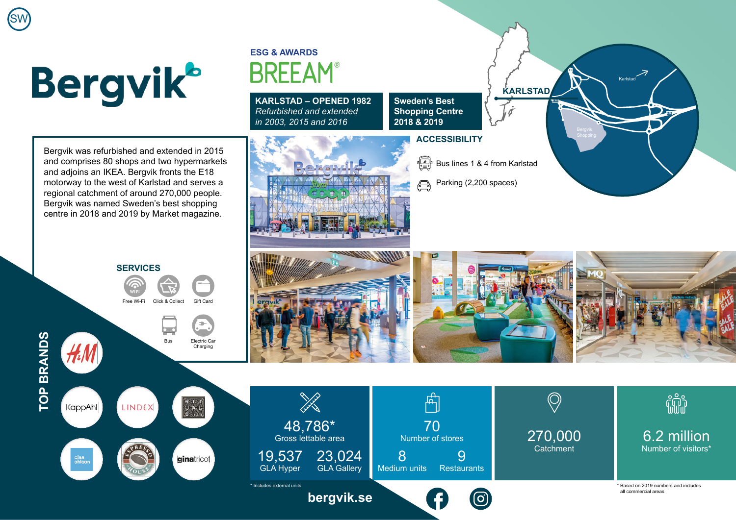## **Bergvik**<sup>®</sup>

SW

**TOP BRANDS**

KappAhl

**TOP BRANDS** 

Bergvik was refurbished and extended in 2015 and comprises 80 shops and two hypermarkets and adjoins an IKEA. Bergvik fronts the E18 motorway to the west of Karlstad and serves a regional catchment of around 270,000 people. Bergvik was named Sweden's best shopping centre in 2018 and 2019 by Market magazine.

**SERVICES**

LINDEX

ginatricot

## **ESG & AWARDS BRFFAM**

**KARLSTAD – OPENED 1982** *Refurbished and extended in 2003, 2015 and 2016*



**Sweden's Best Shopping Centre 2018 & 2019**

## **ACCESSIBILITY**

 $\frac{\sqrt{2}}{\sqrt{2}}$  Bus lines 1 & 4 from Karlstad

Parking (2,200 spaces)  $\bigoplus$ 



9

ଟ୍ର

70 Number of stores

Medium units Restaurants

8

6.2 million Number of visitors\*

Karlstad

**E18**

270,000 **Catchment** 

**E18**

**KARLSTAD**

**61**

\* Based on 2019 numbers and includes all commercial areas

**[bergvik.se](https://bergvik.se/)**

23,024 GLA Gallery

48,786\* Gross lettable area

19,537 GLA Hyper

\* Includes external units